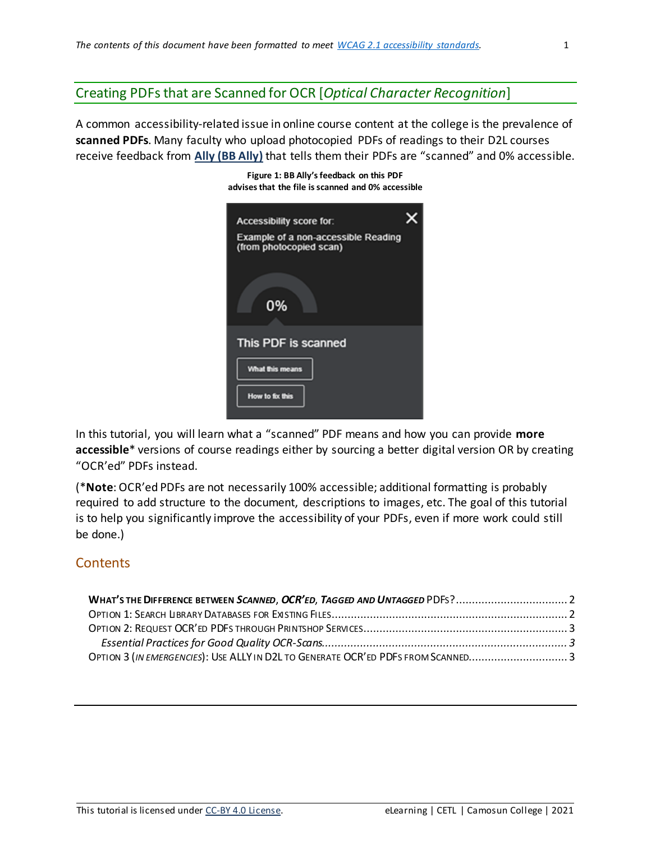# Creating PDFs that are Scanned for OCR [*Optical Character Recognition*]

A common accessibility-related issue in online course content at the college is the prevalence of **scanned PDFs**. Many faculty who upload photocopied PDFs of readings to their D2L courses receive feedback from **Ally (BB Ally)** that tells them their PDFs are "scanned" and 0% accessible.

**Figure 1: BB Ally'sfeedback on this PDF**

| advises that the file is scanned and 0% accessible             |  |
|----------------------------------------------------------------|--|
| Accessibility score for:                                       |  |
| Example of a non-accessible Reading<br>(from photocopied scan) |  |
|                                                                |  |
| 0%                                                             |  |
| This PDF is scanned                                            |  |
| What this means                                                |  |
| How to fix this                                                |  |
|                                                                |  |

In this tutorial, you will learn what a "scanned" PDF means and how you can provide **more accessible**\* versions of course readings either by sourcing a better digital version OR by creating "OCR'ed" PDFs instead.

(\***Note**: OCR'ed PDFs are not necessarily 100% accessible; additional formatting is probably required to add structure to the document, descriptions to images, etc. The goal of this tutorial is to help you significantly improve the accessibility of your PDFs, even if more work could still be done.)

# <span id="page-0-0"></span>**Contents**

| OPTION 3 (IN EMERGENCIES): USE ALLY IN D2L TO GENERATE OCR'ED PDFS FROM SCANNED3 |  |
|----------------------------------------------------------------------------------|--|
|                                                                                  |  |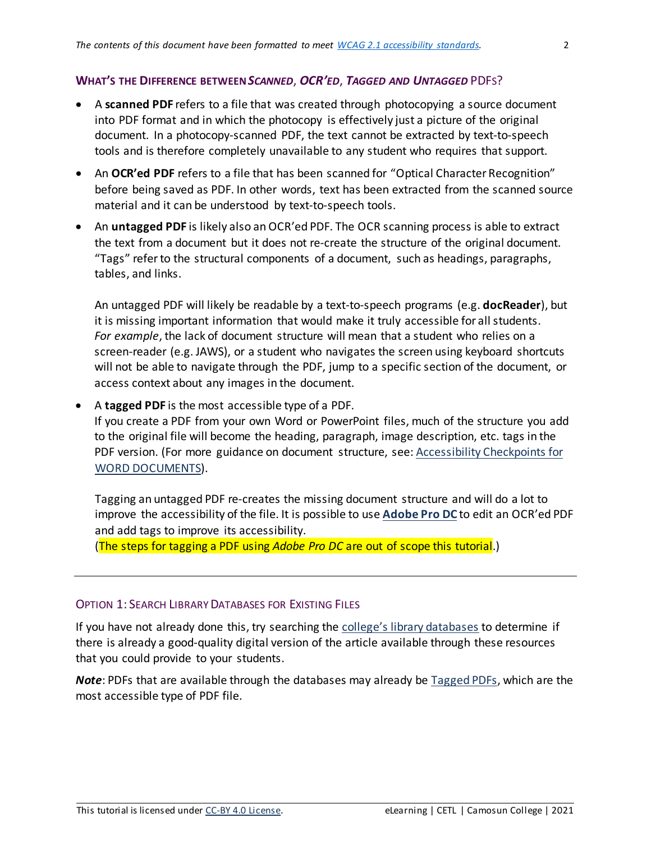### <span id="page-1-0"></span>**WHAT'S THE DIFFERENCE BETWEEN***SCANNED*, *OCR'ED*, *TAGGED AND UNTAGGED* PDFS?

- A **scanned PDF** refers to a file that was created through photocopying a source document into PDF format and in which the photocopy is effectively just a picture of the original document. In a photocopy-scanned PDF, the text cannot be extracted by text-to-speech tools and is therefore completely unavailable to any student who requires that support.
- An **OCR'ed PDF** refers to a file that has been scanned for "Optical Character Recognition" before being saved as PDF. In other words, text has been extracted from the scanned source material and it can be understood by text-to-speech tools.
- An *untagged PDF* is likely also an OCR'ed PDF. The OCR scanning process is able to extract the text from a document but it does not re-create the structure of the original document. "Tags" refer to the structural components of a document, such as headings, paragraphs, tables, and links.

An untagged PDF will likely be readable by a text-to-speech programs (e.g. **docReader**), but it is missing important information that would make it truly accessible for all students. *For example*, the lack of document structure will mean that a student who relies on a screen-reader (e.g. JAWS), or a student who navigates the screen using keyboard shortcuts will not be able to navigate through the PDF, jump to a specific section of the document, or access context about any images in the document.

• A **tagged PDF** is the most accessible type of a PDF.

If you create a PDF from your own Word or PowerPoint files, much of the structure you add to the original file will become the heading, paragraph, image description, etc. tags in the PDF version. (For more guidance on document structure, see: [Accessibility Checkpoints for](https://elearningtutorialscamosun.opened.ca/wp-content/uploads/sites/1304/2020/03/Accessibility_Document-checkpoints_2020.pdf)  [WORD DOCUMENTS\)](https://elearningtutorialscamosun.opened.ca/wp-content/uploads/sites/1304/2020/03/Accessibility_Document-checkpoints_2020.pdf).

Tagging an untagged PDF re-creates the missing document structure and will do a lot to improve the accessibility of the file. It is possible to use **[Adobe Pro DC](http://intranet.camosun.bc.ca/departments/its/documentation/adobe/)** to edit an OCR'ed PDF and add tags to improve its accessibility.

(The steps for tagging a PDF using *Adobe Pro DC* are out of scope this tutorial.)

### <span id="page-1-1"></span>OPTION 1: SEARCH LIBRARY DATABASES FOR EXISTING FILES

If you have not already done this, try searching the [college's library databases](https://camosun.libguides.com/az.php) to determine if there is already a good-quality digital version of the article available through these resources that you could provide to your students.

*Note*: PDFs that are available through the databases may already be [Tagged PDFs,](#page-1-0) which are the most accessible type of PDF file.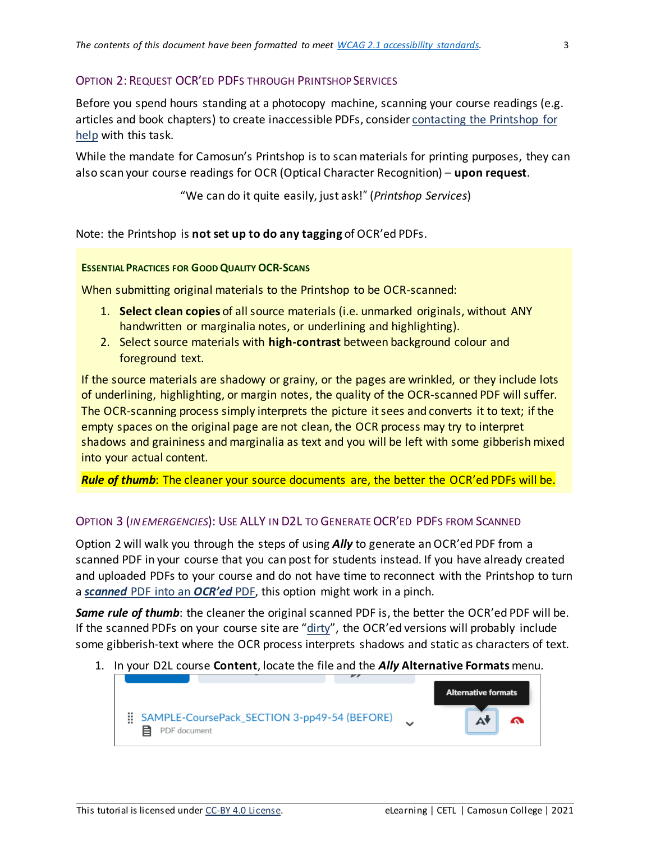### <span id="page-2-0"></span>OPTION 2: REQUEST OCR'ED PDFS THROUGH PRINTSHOPSERVICES

Before you spend hours standing at a photocopy machine, scanning your course readings (e.g. articles and book chapters) to create inaccessible PDFs, consider contacting [the Printshop for](https://legacy.camosun.ca/services/printshop/contact.html)  [help](https://legacy.camosun.ca/services/printshop/contact.html) with this task.

While the mandate for Camosun's Printshop is to scan materials for printing purposes, they can also scan your course readings for OCR (Optical Character Recognition) – **upon request**.

"We can do it quite easily, just ask!" (*Printshop Services*)

Note: the Printshop is **not set up to do any tagging** of OCR'ed PDFs.

#### <span id="page-2-1"></span>**ESSENTIAL PRACTICES FOR GOOD QUALITY OCR-SCANS**

When submitting original materials to the Printshop to be OCR-scanned:

- 1. **Select clean copies** of all source materials (i.e. unmarked originals, without ANY handwritten or marginalia notes, or underlining and highlighting).
- 2. Select source materials with **high-contrast** between background colour and foreground text.

If the source materials are shadowy or grainy, or the pages are wrinkled, or they include lots of underlining, highlighting, or margin notes, the quality of the OCR-scanned PDF will suffer. The OCR-scanning process simply interprets the picture it sees and converts it to text; if the empty spaces on the original page are not clean, the OCR process may try to interpret shadows and graininess and marginalia as text and you will be left with some gibberish mixed into your actual content.

<span id="page-2-2"></span>*Rule of thumb*: The cleaner your source documents are, the better the OCR'ed PDFs will be.

### OPTION 3 (*IN EMERGENCIES*): USE ALLY IN D2L TO GENERATEOCR'ED PDFS FROM SCANNED

Option 2 will walk you through the steps of using *Ally* to generate an OCR'ed PDF from a scanned PDF in your course that you can post for students instead. If you have already created and uploaded PDFs to your course and do not have time to reconnect with the Printshop to turn a *scanned* [PDF into an](#page-0-0) *OCR'ed* PDF, this option might work in a pinch.

*Same rule of thumb*: the cleaner the original scanned PDF is, the better the OCR'ed PDF will be. If the scanned PDFs on your course site are " $\frac{dirty''}{dirty''}$ , the OCR'ed versions will probably include some gibberish-text where the OCR process interprets shadows and static as characters of text.

1. In your D2L course **Content**, locate the file and the *Ally* **Alternative Formats** menu.

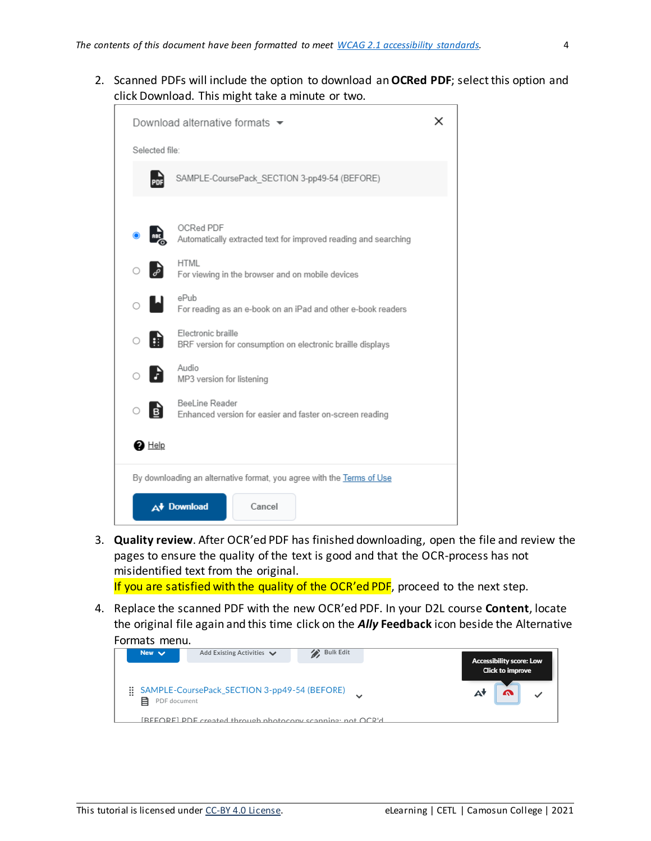2. Scanned PDFs will include the option to download an **OCRed PDF**; select this option and click Download. This might take a minute or two.

|                | Download alternative formats ▼                                                   |  |  |  |
|----------------|----------------------------------------------------------------------------------|--|--|--|
| Selected file: |                                                                                  |  |  |  |
| PDF            | SAMPLE-CoursePack_SECTION 3-pp49-54 (BEFORE)                                     |  |  |  |
|                | OCRed PDF<br>Automatically extracted text for improved reading and searching     |  |  |  |
|                | HTML<br>For viewing in the browser and on mobile devices                         |  |  |  |
| $\circ$ H      | ePub<br>For reading as an e-book on an iPad and other e-book readers             |  |  |  |
| Ħ              | Electronic braille<br>BRF version for consumption on electronic braille displays |  |  |  |
| E              | Audio<br>MP3 version for listening                                               |  |  |  |
| B<br>Ο         | BeeLine Reader<br>Enhanced version for easier and faster on-screen reading       |  |  |  |
| $\bullet$ Help |                                                                                  |  |  |  |
|                | By downloading an alternative format, you agree with the Terms of Use            |  |  |  |
|                | A <sup>+</sup> Download<br>Cancel                                                |  |  |  |

3. **Quality review**. After OCR'ed PDF has finished downloading, open the file and review the pages to ensure the quality of the text is good and that the OCR-process has not misidentified text from the original.

If you are satisfied with the quality of the OCR'ed PDF, proceed to the next step.

4. Replace the scanned PDF with the new OCR'ed PDF. In your D2L course **Content**, locate the original file again and this time click on the *Ally* **Feedback** icon beside the Alternative Formats menu.

| New $\vee$              | Add Existing Activities $\vee$                                    | Bulk Edit | <b>Accessibility score: Low</b> |
|-------------------------|-------------------------------------------------------------------|-----------|---------------------------------|
|                         |                                                                   |           | <b>Click to improve</b>         |
| Ħ.<br>目<br>PDF document | SAMPLE-CoursePack_SECTION 3-pp49-54 (BEFORE)                      |           |                                 |
|                         | <b>IREFORE)</b> PDE created through photocopy scanning: not OCR'd |           |                                 |